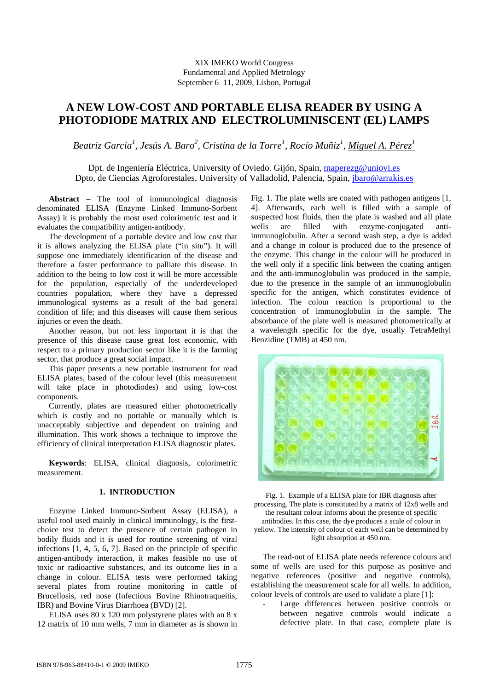# XIX IMEKO World Congress Fundamental and Applied Metrology September 6−11, 2009, Lisbon, Portugal

# **A NEW LOW-COST AND PORTABLE ELISA READER BY USING A PHOTODIODE MATRIX AND ELECTROLUMINISCENT (EL) LAMPS**

*Beatriz García1* , *Jesús A. Baro2 , Cristina de la Torre<sup>1</sup> , Rocío Muñiz<sup>1</sup> , Miguel A. Pérez1*

Dpt. de Ingeniería Eléctrica, University of Oviedo. Gijón, Spain, maperezg@uniovi.es Dpto, de Ciencias Agroforestales, University of Valladolid, Palencia, Spain, jbaro@arrakis.es

**Abstract** − The tool of immunological diagnosis denominated ELISA (Enzyme Linked Immuno-Sorbent Assay) it is probably the most used colorimetric test and it evaluates the compatibility antigen-antibody.

The development of a portable device and low cost that it is allows analyzing the ELISA plate ("in situ"). It will suppose one immediately identification of the disease and therefore a faster performance to palliate this disease. In addition to the being to low cost it will be more accessible for the population, especially of the underdeveloped countries population, where they have a depressed immunological systems as a result of the bad general condition of life; and this diseases will cause them serious injuries or even the death.

Another reason, but not less important it is that the presence of this disease cause great lost economic, with respect to a primary production sector like it is the farming sector, that produce a great social impact.

This paper presents a new portable instrument for read ELISA plates, based of the colour level (this measurement will take place in photodiodes) and using low-cost components.

Currently, plates are measured either photometrically which is costly and no portable or manually which is unacceptably subjective and dependent on training and illumination. This work shows a technique to improve the efficiency of clinical interpretation ELISA diagnostic plates.

**Keywords**: ELISA, clinical diagnosis, colorimetric measurement.

# **1. INTRODUCTION**

Enzyme Linked Immuno-Sorbent Assay (ELISA), a useful tool used mainly in clinical immunology, is the firstchoice test to detect the presence of certain pathogen in bodily fluids and it is used for routine screening of viral infections [1, 4, 5, 6, 7]. Based on the principle of specific antigen-antibody interaction, it makes feasible no use of toxic or radioactive substances, and its outcome lies in a change in colour. ELISA tests were performed taking several plates from routine monitoring in cattle of Brucellosis, red nose (Infectious Bovine Rhinotraqueitis, IBR) and Bovine Virus Diarrhoea (BVD) [2].

ELISA uses 80 x 120 mm polystyrene plates with an 8 x 12 matrix of 10 mm wells, 7 mm in diameter as is shown in Fig. 1. The plate wells are coated with pathogen antigens [1, 4]. Afterwards, each well is filled with a sample of suspected host fluids, then the plate is washed and all plate wells are filled with enzyme-conjugated antiimmunoglobulin. After a second wash step, a dye is added and a change in colour is produced due to the presence of the enzyme. This change in the colour will be produced in the well only if a specific link between the coating antigen and the anti-immunoglobulin was produced in the sample, due to the presence in the sample of an immunoglobulin specific for the antigen, which constitutes evidence of infection. The colour reaction is proportional to the concentration of immunoglobulin in the sample. The absorbance of the plate well is measured photometrically at a wavelength specific for the dye, usually TetraMethyl Benzidine (TMB) at 450 nm.



Fig. 1. Example of a ELISA plate for IBR diagnosis after processing. The plate is constituted by a matrix of 12x8 wells and the resultant colour informs about the presence of specific antibodies. In this case, the dye produces a scale of colour in yellow. The intensity of colour of each well can be determined by light absorption at 450 nm.

The read-out of ELISA plate needs reference colours and some of wells are used for this purpose as positive and negative references (positive and negative controls), establishing the measurement scale for all wells. In addition, colour levels of controls are used to validate a plate [1]:

Large differences between positive controls or between negative controls would indicate a defective plate. In that case, complete plate is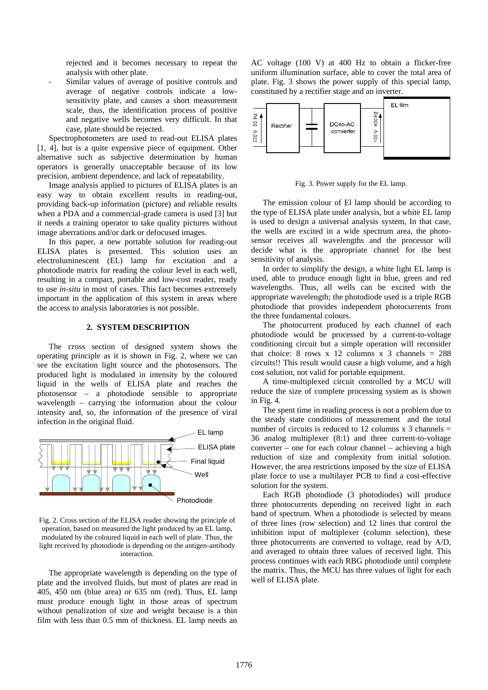rejected and it becomes necessary to repeat the analysis with other plate.

Similar values of average of positive controls and average of negative controls indicate a lowsensitivity plate, and causes a short measurement scale, thus, the identification process of positive and negative wells becomes very difficult. In that case, plate should be rejected.

Spectrophotometers are used to read-out ELISA plates [1, 4], but is a quite expensive piece of equipment. Other alternative such as subjective determination by human operators is generally unacceptable because of its low precision, ambient dependence, and lack of repeatability.

Image analysis applied to pictures of ELISA plates is an easy way to obtain excellent results in reading-out, providing back-up information (picture) and reliable results when a PDA and a commercial-grade camera is used [3] but it needs a training operator to take quality pictures without image aberrations and/or dark or defocused images.

In this paper, a new portable solution for reading-out ELISA plates is presented. This solution uses an electroluminescent (EL) lamp for excitation and a photodiode matrix for reading the colour level in each well, resulting in a compact, portable and low-cost reader, ready to use *in-situ* in most of cases. This fact becomes extremely important in the application of this system in areas where the access to analysis laboratories is not possible.

# **2. SYSTEM DESCRIPTION**

The cross section of designed system shows the operating principle as it is shown in Fig. 2, where we can see the excitation light source and the photosensors. The produced light is modulated in intensity by the coloured liquid in the wells of ELISA plate and reaches the photosensor – a photodiode sensible to appropriate wavelength – carrying the information about the colour intensity and, so, the information of the presence of viral infection in the original fluid.



Fig. 2. Cross section of the ELISA reader showing the principle of operation, based on measured the light produced by an EL lamp, modulated by the coloured liquid in each well of plate. Thus, the light received by photodiode is depending on the antigen-antibody interaction.

The appropriate wavelength is depending on the type of plate and the involved fluids, but most of plates are read in 405, 450 nm (blue area) or 635 nm (red). Thus, EL lamp must produce enough light in those areas of spectrum without penalization of size and weight because is a thin film with less than 0.5 mm of thickness. EL lamp needs an AC voltage (100 V) at 400 Hz to obtain a flicker-free uniform illumination surface, able to cover the total area of plate. Fig. 3 shows the power supply of this special lamp, constituted by a rectifier stage and an inverter.



Fig. 3. Power supply for the EL lamp.

The emission colour of El lamp should be according to the type of ELISA plate under analysis, but a white EL lamp is used to design a universal analysis system, In that case, the wells are excited in a wide spectrum area, the photosensor receives all wavelengths and the processor will decide what is the appropriate channel for the best sensitivity of analysis.

In order to simplify the design, a white light EL lamp is used, able to produce enough light in blue, green and red wavelengths. Thus, all wells can be excited with the appropriate wavelength; the photodiode used is a triple RGB photodiode that provides independent photocurrents from the three fundamental colours.

The photocurrent produced by each channel of each photodiode would be processed by a current-to-voltage conditioning circuit but a simple operation will reconsider that choice: 8 rows x 12 columns x 3 channels =  $288$ circuits!! This result would cause a high volume, and a high cost solution, not valid for portable equipment.

A time-multiplexed circuit controlled by a MCU will reduce the size of complete processing system as is shown in Fig. 4.

The spent time in reading process is not a problem due to the steady state conditions of measurement and the total number of circuits is reduced to 12 columns  $x$  3 channels = 36 analog multiplexer (8:1) and three current-to-voltage converter – one for each colour channel – achieving a high reduction of size and complexity from initial solution. However, the area restrictions imposed by the size of ELISA plate force to use a multilayer PCB to find a cost-effective solution for the system.

Each RGB photodiode (3 photodiodes) will produce three photocurrents depending on received light in each band of spectrum. When a photodiode is selected by means of three lines (row selection) and 12 lines that control the inhibition input of multiplexer (column selection), these three photocurrents are converted to voltage, read by A/D, and averaged to obtain three values of received light. This process continues with each RBG photodiode until complete the matrix. Thus, the MCU has three values of light for each well of ELISA plate.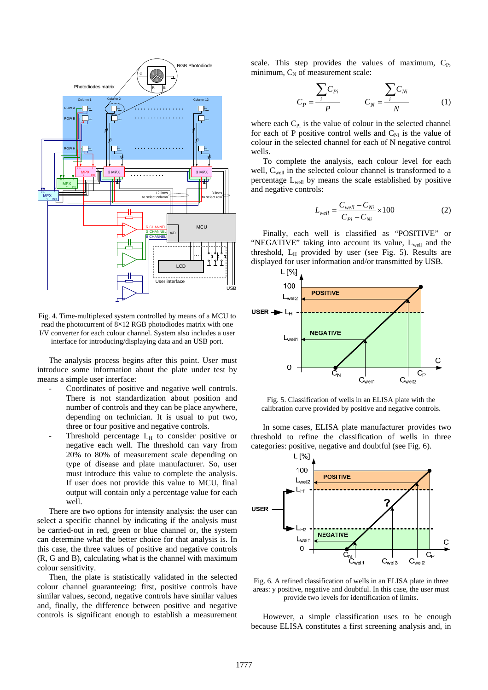

Fig. 4. Time-multiplexed system controlled by means of a MCU to read the photocurrent of 8×12 RGB photodiodes matrix with one I/V converter for each colour channel. System also includes a user interface for introducing/displaying data and an USB port.

The analysis process begins after this point. User must introduce some information about the plate under test by means a simple user interface:

- Coordinates of positive and negative well controls. There is not standardization about position and number of controls and they can be place anywhere, depending on technician. It is usual to put two, three or four positive and negative controls.
- Threshold percentage  $L_H$  to consider positive or negative each well. The threshold can vary from 20% to 80% of measurement scale depending on type of disease and plate manufacturer. So, user must introduce this value to complete the analysis. If user does not provide this value to MCU, final output will contain only a percentage value for each well.

There are two options for intensity analysis: the user can select a specific channel by indicating if the analysis must be carried-out in red, green or blue channel or, the system can determine what the better choice for that analysis is. In this case, the three values of positive and negative controls (R, G and B), calculating what is the channel with maximum colour sensitivity.

Then, the plate is statistically validated in the selected colour channel guaranteeing: first, positive controls have similar values, second, negative controls have similar values and, finally, the difference between positive and negative controls is significant enough to establish a measurement scale. This step provides the values of maximum,  $C_{P}$ , minimum,  $C_N$  of measurement scale:

$$
C_P = \frac{\sum C_{Pi}}{P} \qquad C_N = \frac{\sum C_{Ni}}{N} \qquad (1)
$$

where each  $C_{\text{Pi}}$  is the value of colour in the selected channel for each of P positive control wells and  $C_{Ni}$  is the value of colour in the selected channel for each of N negative control wells.

To complete the analysis, each colour level for each well, C<sub>well</sub> in the selected colour channel is transformed to a percentage Lwell by means the scale established by positive and negative controls:

$$
L_{well} = \frac{C_{well} - C_{Ni}}{C_{Pi} - C_{Ni}} \times 100
$$
 (2)

Finally, each well is classified as "POSITIVE" or "NEGATIVE" taking into account its value, L<sub>well</sub> and the threshold,  $L_H$  provided by user (see Fig. 5). Results are displayed for user information and/or transmitted by USB.



Fig. 5. Classification of wells in an ELISA plate with the calibration curve provided by positive and negative controls.

In some cases, ELISA plate manufacturer provides two threshold to refine the classification of wells in three categories: positive, negative and doubtful (see Fig. 6).



Fig. 6. A refined classification of wells in an ELISA plate in three areas: y positive, negative and doubtful. In this case, the user must provide two levels for identification of limits.

However, a simple classification uses to be enough because ELISA constitutes a first screening analysis and, in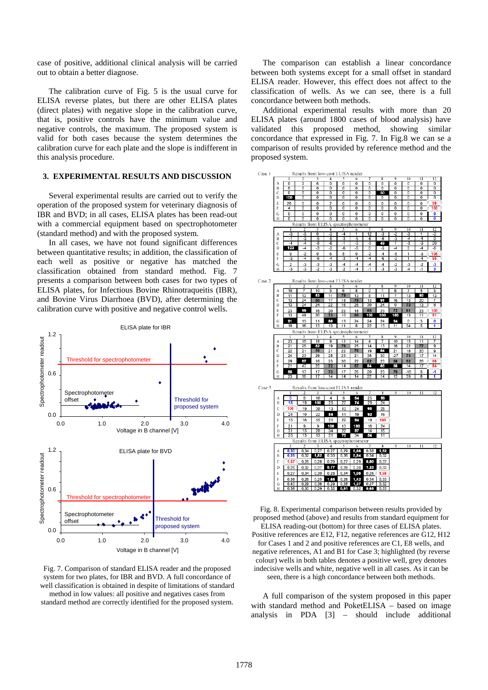case of positive, additional clinical analysis will be carried out to obtain a better diagnose.

The calibration curve of Fig. 5 is the usual curve for ELISA reverse plates, but there are other ELISA plates (direct plates) with negative slope in the calibration curve, that is, positive controls have the minimum value and negative controls, the maximum. The proposed system is valid for both cases because the system determines the calibration curve for each plate and the slope is indifferent in this analysis procedure.

# **3. EXPERIMENTAL RESULTS AND DISCUSSION**

Several experimental results are carried out to verify the operation of the proposed system for veterinary diagnosis of IBR and BVD; in all cases, ELISA plates has been read-out with a commercial equipment based on spectrophotometer (standard method) and with the proposed system.

In all cases, we have not found significant differences between quantitative results; in addition, the classification of each well as positive or negative has matched the classification obtained from standard method. Fig. 7 presents a comparison between both cases for two types of ELISA plates, for Infectious Bovine Rhinotraqueitis (IBR), and Bovine Virus Diarrhoea (BVD), after determining the calibration curve with positive and negative control wells.



Fig. 7. Comparison of standard ELISA reader and the proposed system for two plates, for IBR and BVD. A full concordance of well classification is obtained in despite of limitations of standard method in low values: all positive and negatives cases from standard method are correctly identified for the proposed system.

The comparison can establish a linear concordance between both systems except for a small offset in standard ELISA reader. However, this effect does not affect to the classification of wells. As we can see, there is a full concordance between both methods.

Additional experimental results with more than 20 ELISA plates (around 1800 cases of blood analysis) have validated this proposed method, showing similar concordance that expressed in Fig. 7. In Fig.8 we can se a comparison of results provided by reference method and the proposed system.



Fig. 8. Experimental comparison between results provided by proposed method (above) and results from standard equipment for ELISA reading-out (bottom) for three cases of ELISA plates. Positive references are E12, F12, negative references are G12, H12 for Cases 1 and 2 and positive references are C1, E8 wells, and negative references, A1 and B1 for Case 3; highlighted (by reverse colour) wells in both tables denotes a positive well, grey denotes indecisive wells and white, negative well in all cases. As it can be seen, there is a high concordance between both methods.

A full comparison of the system proposed in this paper with standard method and PoketELISA – based on image analysis in PDA [3] – should include additional